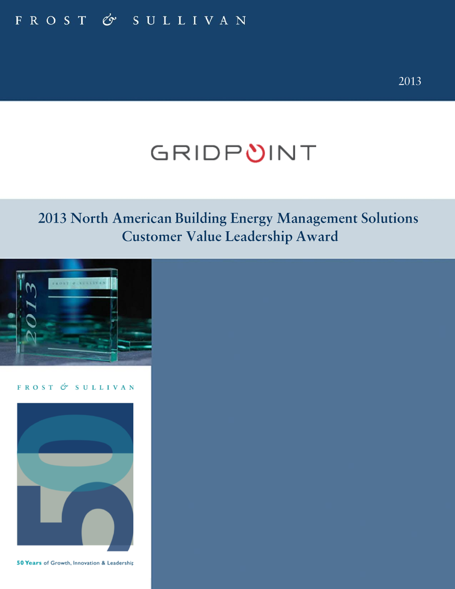# FROST & SULLIVAN

# GRIDPUINT

# 2013 North American Building Energy Management Solutions Customer Value Leadership Award



FROST & SULLIVAN



50 Years of Growth, Innovation & Leadership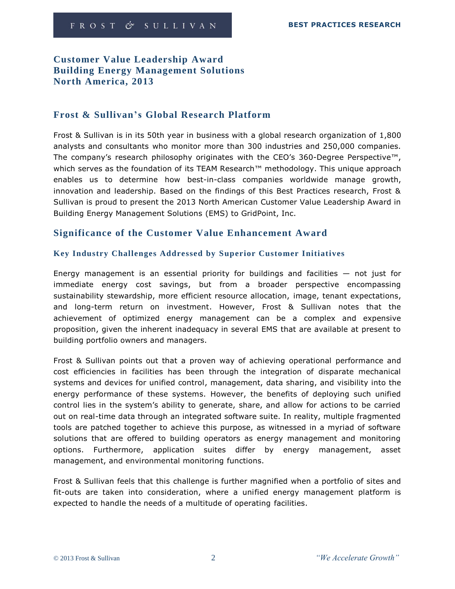# **Customer Value Leadership Award Building Energy Management Solutions North America, 2013**

## **Frost & Sullivan's Global Research Platform**

Frost & Sullivan is in its 50th year in business with a global research organization of 1,800 analysts and consultants who monitor more than 300 industries and 250,000 companies. The company's research philosophy originates with the CEO's 360-Degree Perspective™, which serves as the foundation of its TEAM Research™ methodology. This unique approach enables us to determine how best-in-class companies worldwide manage growth, innovation and leadership. Based on the findings of this Best Practices research, Frost & Sullivan is proud to present the 2013 North American Customer Value Leadership Award in Building Energy Management Solutions (EMS) to GridPoint, Inc.

## **Significance of the Customer Value Enhancement Award**

#### **Key Industry Challenges Addressed by Superior Customer Initiatives**

Energy management is an essential priority for buildings and facilities  $-$  not just for immediate energy cost savings, but from a broader perspective encompassing sustainability stewardship, more efficient resource allocation, image, tenant expectations, and long-term return on investment. However, Frost & Sullivan notes that the achievement of optimized energy management can be a complex and expensive proposition, given the inherent inadequacy in several EMS that are available at present to building portfolio owners and managers.

Frost & Sullivan points out that a proven way of achieving operational performance and cost efficiencies in facilities has been through the integration of disparate mechanical systems and devices for unified control, management, data sharing, and visibility into the energy performance of these systems. However, the benefits of deploying such unified control lies in the system's ability to generate, share, and allow for actions to be carried out on real-time data through an integrated software suite. In reality, multiple fragmented tools are patched together to achieve this purpose, as witnessed in a myriad of software solutions that are offered to building operators as energy management and monitoring options. Furthermore, application suites differ by energy management, asset management, and environmental monitoring functions.

Frost & Sullivan feels that this challenge is further magnified when a portfolio of sites and fit-outs are taken into consideration, where a unified energy management platform is expected to handle the needs of a multitude of operating facilities.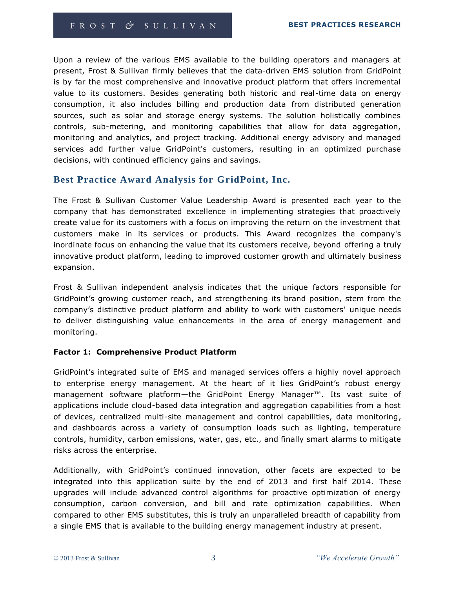Upon a review of the various EMS available to the building operators and managers at present, Frost & Sullivan firmly believes that the data-driven EMS solution from GridPoint is by far the most comprehensive and innovative product platform that offers incremental value to its customers. Besides generating both historic and real-time data on energy consumption, it also includes billing and production data from distributed generation sources, such as solar and storage energy systems. The solution holistically combines controls, sub-metering, and monitoring capabilities that allow for data aggregation, monitoring and analytics, and project tracking. Additional energy advisory and managed services add further value GridPoint's customers, resulting in an optimized purchase decisions, with continued efficiency gains and savings.

# **Best Practice Award Analysis for GridPoint, Inc.**

The Frost & Sullivan Customer Value Leadership Award is presented each year to the company that has demonstrated excellence in implementing strategies that proactively create value for its customers with a focus on improving the return on the investment that customers make in its services or products. This Award recognizes the company's inordinate focus on enhancing the value that its customers receive, beyond offering a truly innovative product platform, leading to improved customer growth and ultimately business expansion.

Frost & Sullivan independent analysis indicates that the unique factors responsible for GridPoint's growing customer reach, and strengthening its brand position, stem from the company's distinctive product platform and ability to work with customers' unique needs to deliver distinguishing value enhancements in the area of energy management and monitoring.

#### **Factor 1: Comprehensive Product Platform**

GridPoint's integrated suite of EMS and managed services offers a highly novel approach to enterprise energy management. At the heart of it lies GridPoint's robust energy management software platform—the GridPoint Energy Manager™. Its vast suite of applications include cloud-based data integration and aggregation capabilities from a host of devices, centralized multi-site management and control capabilities, data monitoring, and dashboards across a variety of consumption loads such as lighting, temperature controls, humidity, carbon emissions, water, gas, etc., and finally smart alarms to mitigate risks across the enterprise.

Additionally, with GridPoint's continued innovation, other facets are expected to be integrated into this application suite by the end of 2013 and first half 2014. These upgrades will include advanced control algorithms for proactive optimization of energy consumption, carbon conversion, and bill and rate optimization capabilities. When compared to other EMS substitutes, this is truly an unparalleled breadth of capability from a single EMS that is available to the building energy management industry at present.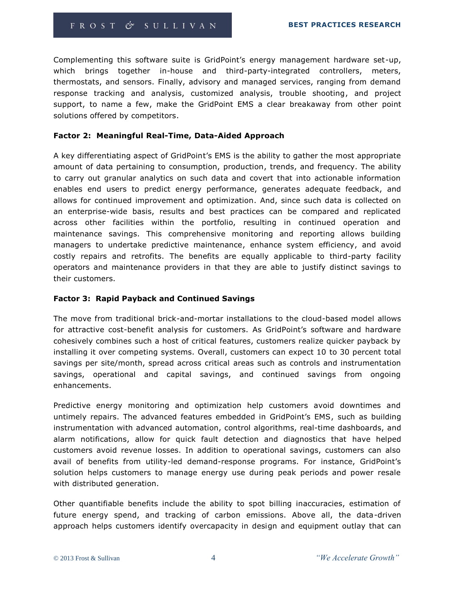Complementing this software suite is GridPoint's energy management hardware set-up, which brings together in-house and third-party-integrated controllers, meters, thermostats, and sensors. Finally, advisory and managed services, ranging from demand response tracking and analysis, customized analysis, trouble shooting, and project support, to name a few, make the GridPoint EMS a clear breakaway from other point solutions offered by competitors.

#### **Factor 2: Meaningful Real-Time, Data-Aided Approach**

A key differentiating aspect of GridPoint's EMS is the ability to gather the most appropriate amount of data pertaining to consumption, production, trends, and frequency. The ability to carry out granular analytics on such data and covert that into actionable information enables end users to predict energy performance, generates adequate feedback, and allows for continued improvement and optimization. And, since such data is collected on an enterprise-wide basis, results and best practices can be compared and replicated across other facilities within the portfolio, resulting in continued operation and maintenance savings. This comprehensive monitoring and reporting allows building managers to undertake predictive maintenance, enhance system efficiency, and avoid costly repairs and retrofits. The benefits are equally applicable to third-party facility operators and maintenance providers in that they are able to justify distinct savings to their customers.

#### **Factor 3: Rapid Payback and Continued Savings**

The move from traditional brick-and-mortar installations to the cloud-based model allows for attractive cost-benefit analysis for customers. As GridPoint's software and hardware cohesively combines such a host of critical features, customers realize quicker payback by installing it over competing systems. Overall, customers can expect 10 to 30 percent total savings per site/month, spread across critical areas such as controls and instrumentation savings, operational and capital savings, and continued savings from ongoing enhancements.

Predictive energy monitoring and optimization help customers avoid downtimes and untimely repairs. The advanced features embedded in GridPoint's EMS, such as building instrumentation with advanced automation, control algorithms, real-time dashboards, and alarm notifications, allow for quick fault detection and diagnostics that have helped customers avoid revenue losses. In addition to operational savings, customers can also avail of benefits from utility-led demand-response programs. For instance, GridPoint's solution helps customers to manage energy use during peak periods and power resale with distributed generation.

Other quantifiable benefits include the ability to spot billing inaccuracies, estimation of future energy spend, and tracking of carbon emissions. Above all, the data-driven approach helps customers identify overcapacity in design and equipment outlay that can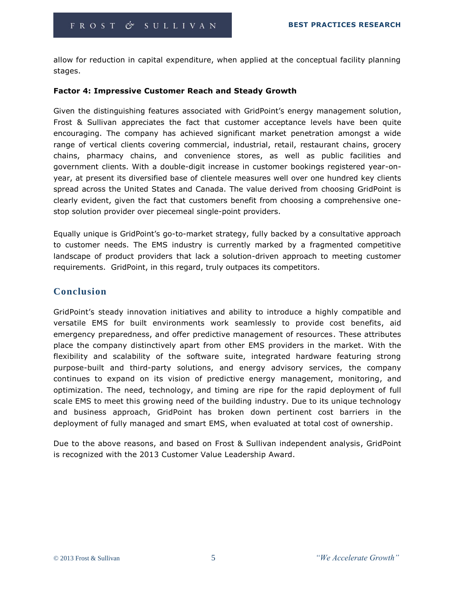allow for reduction in capital expenditure, when applied at the conceptual facility planning stages.

#### **Factor 4: Impressive Customer Reach and Steady Growth**

Given the distinguishing features associated with GridPoint's energy management solution, Frost & Sullivan appreciates the fact that customer acceptance levels have been quite encouraging. The company has achieved significant market penetration amongst a wide range of vertical clients covering commercial, industrial, retail, restaurant chains, grocery chains, pharmacy chains, and convenience stores, as well as public facilities and government clients. With a double-digit increase in customer bookings registered year-onyear, at present its diversified base of clientele measures well over one hundred key clients spread across the United States and Canada. The value derived from choosing GridPoint is clearly evident, given the fact that customers benefit from choosing a comprehensive onestop solution provider over piecemeal single-point providers.

Equally unique is GridPoint's go-to-market strategy, fully backed by a consultative approach to customer needs. The EMS industry is currently marked by a fragmented competitive landscape of product providers that lack a solution-driven approach to meeting customer requirements. GridPoint, in this regard, truly outpaces its competitors.

# **Conclusion**

GridPoint's steady innovation initiatives and ability to introduce a highly compatible and versatile EMS for built environments work seamlessly to provide cost benefits, aid emergency preparedness, and offer predictive management of resources. These attributes place the company distinctively apart from other EMS providers in the market. With the flexibility and scalability of the software suite, integrated hardware featuring strong purpose-built and third-party solutions, and energy advisory services, the company continues to expand on its vision of predictive energy management, monitoring, and optimization. The need, technology, and timing are ripe for the rapid deployment of full scale EMS to meet this growing need of the building industry. Due to its unique technology and business approach, GridPoint has broken down pertinent cost barriers in the deployment of fully managed and smart EMS, when evaluated at total cost of ownership.

Due to the above reasons, and based on Frost & Sullivan independent analysis, GridPoint is recognized with the 2013 Customer Value Leadership Award.